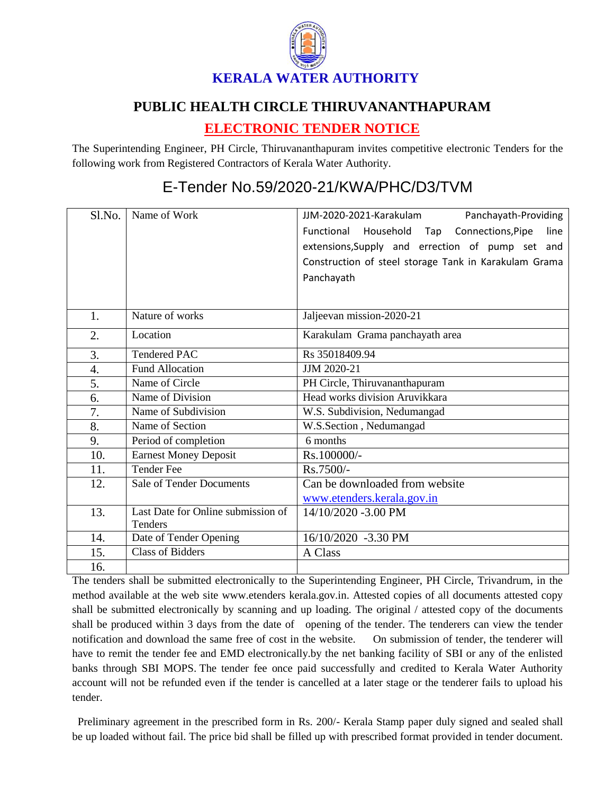

## **PUBLIC HEALTH CIRCLE THIRUVANANTHAPURAM**

## **ELECTRONIC TENDER NOTICE**

The Superintending Engineer, PH Circle, Thiruvananthapuram invites competitive electronic Tenders for the following work from Registered Contractors of Kerala Water Authority.

## E-Tender No.59/2020-21/KWA/PHC/D3/TVM

| Sl.No.           | Name of Work                                  | Panchayath-Providing<br>JJM-2020-2021-Karakulam       |
|------------------|-----------------------------------------------|-------------------------------------------------------|
|                  |                                               | Household Tap Connections, Pipe<br>Functional<br>line |
|                  |                                               | extensions, Supply and errection of pump set and      |
|                  |                                               | Construction of steel storage Tank in Karakulam Grama |
|                  |                                               | Panchayath                                            |
|                  |                                               |                                                       |
|                  |                                               |                                                       |
| 1.               | Nature of works                               | Jaljeevan mission-2020-21                             |
| 2.               | Location                                      | Karakulam Grama panchayath area                       |
| 3.               | <b>Tendered PAC</b>                           | Rs 35018409.94                                        |
| $\overline{4}$ . | <b>Fund Allocation</b>                        | JJM 2020-21                                           |
| 5.               | Name of Circle                                | PH Circle, Thiruvananthapuram                         |
| 6.               | Name of Division                              | Head works division Aruvikkara                        |
| 7.               | Name of Subdivision                           | W.S. Subdivision, Nedumangad                          |
| 8.               | Name of Section                               | W.S.Section, Nedumangad                               |
| 9.               | Period of completion                          | 6 months                                              |
| 10.              | <b>Earnest Money Deposit</b>                  | Rs.100000/-                                           |
| 11.              | <b>Tender Fee</b>                             | Rs.7500/-                                             |
| 12.              | <b>Sale of Tender Documents</b>               | Can be downloaded from website                        |
|                  |                                               | www.etenders.kerala.gov.in                            |
| 13.              | Last Date for Online submission of<br>Tenders | 14/10/2020 -3.00 PM                                   |
| 14.              | Date of Tender Opening                        | 16/10/2020 -3.30 PM                                   |
| 15.              | <b>Class of Bidders</b>                       | A Class                                               |
| 16.              |                                               |                                                       |

The tenders shall be submitted electronically to the Superintending Engineer, PH Circle, Trivandrum, in the method available at the web site www.etenders kerala.gov.in. Attested copies of all documents attested copy shall be submitted electronically by scanning and up loading. The original / attested copy of the documents shall be produced within 3 days from the date of opening of the tender. The tenderers can view the tender notification and download the same free of cost in the website. On submission of tender, the tenderer will have to remit the tender fee and EMD electronically.by the net banking facility of SBI or any of the enlisted banks through SBI MOPS. The tender fee once paid successfully and credited to Kerala Water Authority account will not be refunded even if the tender is cancelled at a later stage or the tenderer fails to upload his tender.

 Preliminary agreement in the prescribed form in Rs. 200/- Kerala Stamp paper duly signed and sealed shall be up loaded without fail. The price bid shall be filled up with prescribed format provided in tender document.